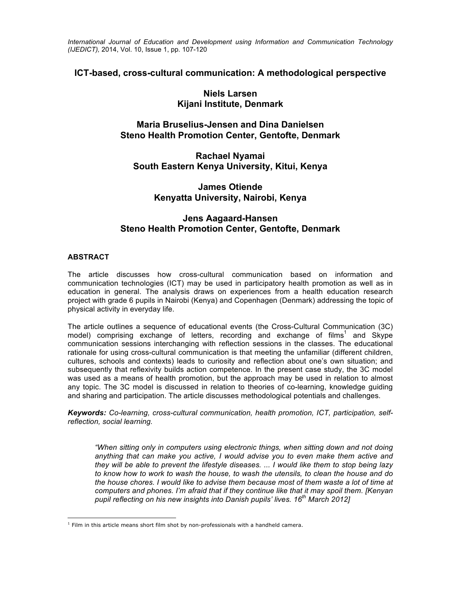*International Journal of Education and Development using Information and Communication Technology (IJEDICT),* 2014, Vol. 10, Issue 1, pp. 107-120

# **ICT-based, cross-cultural communication: A methodological perspective**

# **Niels Larsen Kijani Institute, Denmark**

# **Maria Bruselius-Jensen and Dina Danielsen Steno Health Promotion Center, Gentofte, Denmark**

**Rachael Nyamai South Eastern Kenya University, Kitui, Kenya**

# **James Otiende Kenyatta University, Nairobi, Kenya**

# **Jens Aagaard-Hansen Steno Health Promotion Center, Gentofte, Denmark**

## **ABSTRACT**

The article discusses how cross-cultural communication based on information and communication technologies (ICT) may be used in participatory health promotion as well as in education in general. The analysis draws on experiences from a health education research project with grade 6 pupils in Nairobi (Kenya) and Copenhagen (Denmark) addressing the topic of physical activity in everyday life.

The article outlines a sequence of educational events (the Cross-Cultural Communication (3C) model) comprising exchange of letters, recording and exchange of films<sup>1</sup> and Skype communication sessions interchanging with reflection sessions in the classes. The educational rationale for using cross-cultural communication is that meeting the unfamiliar (different children, cultures, schools and contexts) leads to curiosity and reflection about one's own situation; and subsequently that reflexivity builds action competence. In the present case study, the 3C model was used as a means of health promotion, but the approach may be used in relation to almost any topic. The 3C model is discussed in relation to theories of co-learning, knowledge guiding and sharing and participation. The article discusses methodological potentials and challenges.

*Keywords: Co-learning, cross-cultural communication, health promotion, ICT, participation, selfreflection, social learning.*

*"When sitting only in computers using electronic things, when sitting down and not doing anything that can make you active, I would advise you to even make them active and they will be able to prevent the lifestyle diseases. ... I would like them to stop being lazy to know how to work to wash the house, to wash the utensils, to clean the house and do the house chores. I would like to advise them because most of them waste a lot of time at computers and phones. I'm afraid that if they continue like that it may spoil them. [Kenyan pupil reflecting on his new insights into Danish pupils' lives. 16th March 2012]*

 $<sup>1</sup>$  Film in this article means short film shot by non-professionals with a handheld camera.</sup>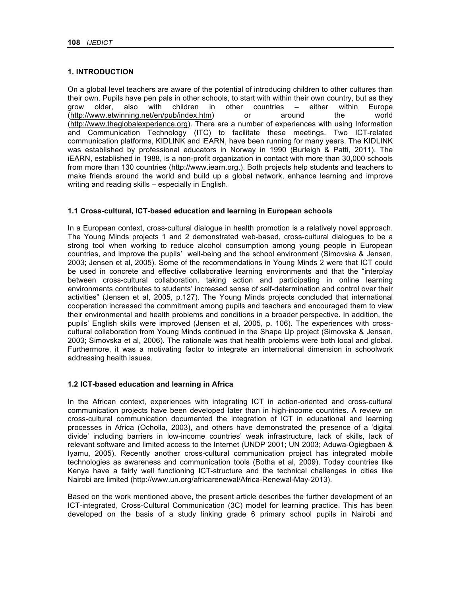## **1. INTRODUCTION**

On a global level teachers are aware of the potential of introducing children to other cultures than their own. Pupils have pen pals in other schools, to start with within their own country, but as they grow older, also with children in other countries – either within Europe (http://www.etwinning.net/en/pub/index.htm) or around the world (http://www.theglobalexperience.org). There are a number of experiences with using Information and Communication Technology (ITC) to facilitate these meetings. Two ICT-related communication platforms, KIDLINK and iEARN, have been running for many years. The KIDLINK was established by professional educators in Norway in 1990 (Burleigh & Patti, 2011). The iEARN, established in 1988, is a non-profit organization in contact with more than 30,000 schools from more than 130 countries (http://www.iearn.org.). Both projects help students and teachers to make friends around the world and build up a global network, enhance learning and improve writing and reading skills – especially in English.

## **1.1 Cross-cultural, ICT-based education and learning in European schools**

In a European context, cross-cultural dialogue in health promotion is a relatively novel approach. The Young Minds projects 1 and 2 demonstrated web-based, cross-cultural dialogues to be a strong tool when working to reduce alcohol consumption among young people in European countries, and improve the pupils' well-being and the school environment (Simovska & Jensen, 2003; Jensen et al, 2005). Some of the recommendations in Young Minds 2 were that ICT could be used in concrete and effective collaborative learning environments and that the "interplay between cross-cultural collaboration, taking action and participating in online learning environments contributes to students' increased sense of self-determination and control over their activities" (Jensen et al, 2005, p.127). The Young Minds projects concluded that international cooperation increased the commitment among pupils and teachers and encouraged them to view their environmental and health problems and conditions in a broader perspective. In addition, the pupils' English skills were improved (Jensen et al, 2005, p. 106). The experiences with crosscultural collaboration from Young Minds continued in the Shape Up project (Simovska & Jensen, 2003; Simovska et al, 2006). The rationale was that health problems were both local and global. Furthermore, it was a motivating factor to integrate an international dimension in schoolwork addressing health issues.

## **1.2 ICT-based education and learning in Africa**

In the African context, experiences with integrating ICT in action-oriented and cross-cultural communication projects have been developed later than in high-income countries. A review on cross-cultural communication documented the integration of ICT in educational and learning processes in Africa (Ocholla, 2003), and others have demonstrated the presence of a 'digital divide' including barriers in low-income countries' weak infrastructure, lack of skills, lack of relevant software and limited access to the Internet (UNDP 2001; UN 2003; Aduwa-Ogiegbaen & Iyamu, 2005). Recently another cross-cultural communication project has integrated mobile technologies as awareness and communication tools (Botha et al, 2009). Today countries like Kenya have a fairly well functioning ICT-structure and the technical challenges in cities like Nairobi are limited (http://www.un.org/africarenewal/Africa-Renewal-May-2013).

Based on the work mentioned above, the present article describes the further development of an ICT-integrated, Cross-Cultural Communication (3C) model for learning practice. This has been developed on the basis of a study linking grade 6 primary school pupils in Nairobi and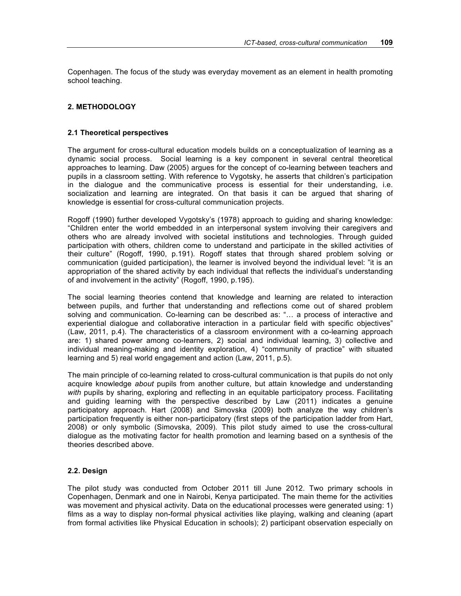Copenhagen. The focus of the study was everyday movement as an element in health promoting school teaching.

### **2. METHODOLOGY**

#### **2.1 Theoretical perspectives**

The argument for cross-cultural education models builds on a conceptualization of learning as a dynamic social process. Social learning is a key component in several central theoretical approaches to learning. Daw (2005) argues for the concept of co-learning between teachers and pupils in a classroom setting. With reference to Vygotsky, he asserts that children's participation in the dialogue and the communicative process is essential for their understanding, i.e. socialization and learning are integrated. On that basis it can be argued that sharing of knowledge is essential for cross-cultural communication projects.

Rogoff (1990) further developed Vygotsky's (1978) approach to guiding and sharing knowledge: "Children enter the world embedded in an interpersonal system involving their caregivers and others who are already involved with societal institutions and technologies. Through guided participation with others, children come to understand and participate in the skilled activities of their culture" (Rogoff, 1990, p.191). Rogoff states that through shared problem solving or communication (guided participation), the learner is involved beyond the individual level: "it is an appropriation of the shared activity by each individual that reflects the individual's understanding of and involvement in the activity" (Rogoff, 1990, p.195).

The social learning theories contend that knowledge and learning are related to interaction between pupils, and further that understanding and reflections come out of shared problem solving and communication. Co-learning can be described as: "… a process of interactive and experiential dialogue and collaborative interaction in a particular field with specific objectives" (Law, 2011, p.4). The characteristics of a classroom environment with a co-learning approach are: 1) shared power among co-learners, 2) social and individual learning, 3) collective and individual meaning-making and identity exploration, 4) "community of practice" with situated learning and 5) real world engagement and action (Law, 2011, p.5).

The main principle of co-learning related to cross-cultural communication is that pupils do not only acquire knowledge *about* pupils from another culture, but attain knowledge and understanding *with* pupils by sharing, exploring and reflecting in an equitable participatory process. Facilitating and guiding learning with the perspective described by Law (2011) indicates a genuine participatory approach. Hart (2008) and Simovska (2009) both analyze the way children's participation frequently is either non-participatory (first steps of the participation ladder from Hart, 2008) or only symbolic (Simovska, 2009). This pilot study aimed to use the cross-cultural dialogue as the motivating factor for health promotion and learning based on a synthesis of the theories described above.

### **2.2. Design**

The pilot study was conducted from October 2011 till June 2012. Two primary schools in Copenhagen, Denmark and one in Nairobi, Kenya participated. The main theme for the activities was movement and physical activity. Data on the educational processes were generated using: 1) films as a way to display non-formal physical activities like playing, walking and cleaning (apart from formal activities like Physical Education in schools); 2) participant observation especially on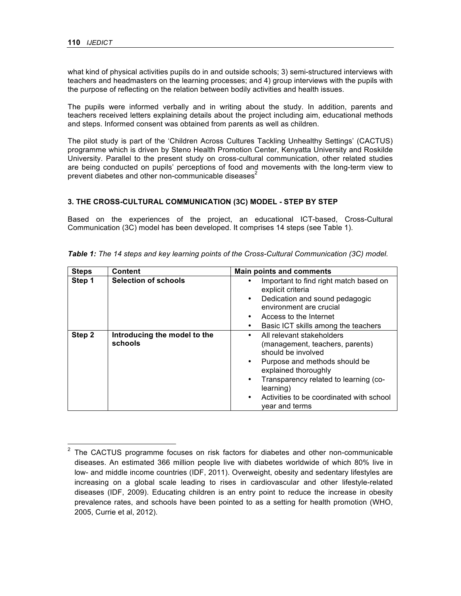what kind of physical activities pupils do in and outside schools; 3) semi-structured interviews with teachers and headmasters on the learning processes; and 4) group interviews with the pupils with the purpose of reflecting on the relation between bodily activities and health issues.

The pupils were informed verbally and in writing about the study. In addition, parents and teachers received letters explaining details about the project including aim, educational methods and steps. Informed consent was obtained from parents as well as children.

The pilot study is part of the 'Children Across Cultures Tackling Unhealthy Settings' (CACTUS) programme which is driven by Steno Health Promotion Center, Kenyatta University and Roskilde University. Parallel to the present study on cross-cultural communication, other related studies are being conducted on pupils' perceptions of food and movements with the long-term view to prevent diabetes and other non-communicable diseases $2$ 

### **3. THE CROSS-CULTURAL COMMUNICATION (3C) MODEL - STEP BY STEP**

Based on the experiences of the project, an educational ICT-based, Cross-Cultural Communication (3C) model has been developed. It comprises 14 steps (see Table 1).

| <b>Steps</b> | <b>Content</b>                          | <b>Main points and comments</b>                                                                                                                                                                                  |
|--------------|-----------------------------------------|------------------------------------------------------------------------------------------------------------------------------------------------------------------------------------------------------------------|
| Step 1       | <b>Selection of schools</b>             | Important to find right match based on<br>explicit criteria<br>Dedication and sound pedagogic<br>$\bullet$<br>environment are crucial                                                                            |
|              |                                         | Access to the Internet<br>٠<br>Basic ICT skills among the teachers                                                                                                                                               |
| Step 2       | Introducing the model to the<br>schools | All relevant stakeholders<br>٠<br>(management, teachers, parents)<br>should be involved<br>Purpose and methods should be<br>٠<br>explained thoroughly<br>Transparency related to learning (co-<br>٠<br>learning) |
|              |                                         | Activities to be coordinated with school<br>$\bullet$<br>vear and terms                                                                                                                                          |

|  |  | Table 1: The 14 steps and key learning points of the Cross-Cultural Communication (3C) model. |
|--|--|-----------------------------------------------------------------------------------------------|
|--|--|-----------------------------------------------------------------------------------------------|

<sup>2</sup> The CACTUS programme focuses on risk factors for diabetes and other non-communicable diseases. An estimated 366 million people live with diabetes worldwide of which 80% live in low- and middle income countries (IDF, 2011). Overweight, obesity and sedentary lifestyles are increasing on a global scale leading to rises in cardiovascular and other lifestyle-related diseases (IDF, 2009). Educating children is an entry point to reduce the increase in obesity prevalence rates, and schools have been pointed to as a setting for health promotion (WHO, 2005, Currie et al, 2012).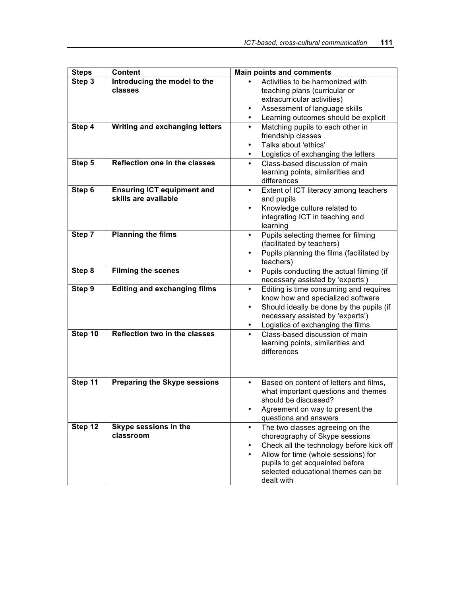| <b>Steps</b> | <b>Content</b>                                            | <b>Main points and comments</b>                                                                                                                                                                                                             |
|--------------|-----------------------------------------------------------|---------------------------------------------------------------------------------------------------------------------------------------------------------------------------------------------------------------------------------------------|
| Step 3       | Introducing the model to the<br>classes                   | Activities to be harmonized with<br>teaching plans (curricular or<br>extracurricular activities)<br>Assessment of language skills<br>٠<br>Learning outcomes should be explicit<br>$\bullet$                                                 |
| Step 4       | <b>Writing and exchanging letters</b>                     | Matching pupils to each other in<br>$\bullet$<br>friendship classes<br>Talks about 'ethics'<br>$\bullet$<br>Logistics of exchanging the letters<br>$\bullet$                                                                                |
| Step 5       | Reflection one in the classes                             | Class-based discussion of main<br>$\bullet$<br>learning points, similarities and<br>differences                                                                                                                                             |
| Step 6       | <b>Ensuring ICT equipment and</b><br>skills are available | Extent of ICT literacy among teachers<br>$\bullet$<br>and pupils<br>Knowledge culture related to<br>$\bullet$<br>integrating ICT in teaching and<br>learning                                                                                |
| Step 7       | <b>Planning the films</b>                                 | Pupils selecting themes for filming<br>$\bullet$<br>(facilitated by teachers)<br>Pupils planning the films (facilitated by<br>٠<br>teachers)                                                                                                |
| Step 8       | <b>Filming the scenes</b>                                 | Pupils conducting the actual filming (if<br>$\bullet$<br>necessary assisted by 'experts')                                                                                                                                                   |
| Step 9       | <b>Editing and exchanging films</b>                       | Editing is time consuming and requires<br>$\bullet$<br>know how and specialized software<br>Should ideally be done by the pupils (if<br>$\bullet$<br>necessary assisted by 'experts')<br>Logistics of exchanging the films<br>$\bullet$     |
| Step 10      | <b>Reflection two in the classes</b>                      | Class-based discussion of main<br>$\bullet$<br>learning points, similarities and<br>differences                                                                                                                                             |
| Step 11      | <b>Preparing the Skype sessions</b>                       | Based on content of letters and films,<br>$\bullet$<br>what important questions and themes<br>should be discussed?<br>Agreement on way to present the<br>questions and answers                                                              |
| Step 12      | Skype sessions in the<br>classroom                        | The two classes agreeing on the<br>choreography of Skype sessions<br>Check all the technology before kick off<br>Allow for time (whole sessions) for<br>pupils to get acquainted before<br>selected educational themes can be<br>dealt with |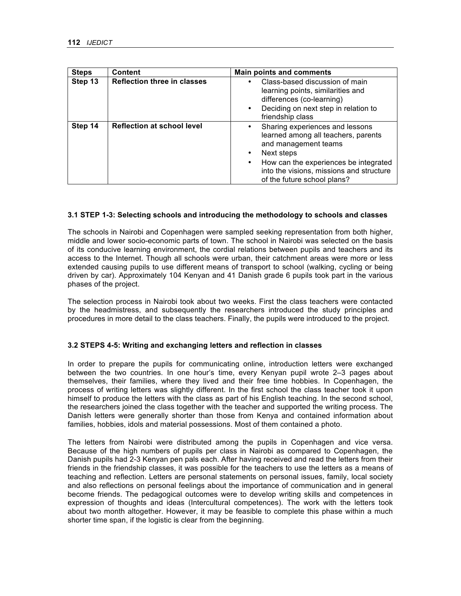| <b>Steps</b> | <b>Content</b>                     | <b>Main points and comments</b>                                                                                                                                                                                                                                 |
|--------------|------------------------------------|-----------------------------------------------------------------------------------------------------------------------------------------------------------------------------------------------------------------------------------------------------------------|
| Step 13      | <b>Reflection three in classes</b> | Class-based discussion of main<br>٠<br>learning points, similarities and<br>differences (co-learning)<br>Deciding on next step in relation to<br>$\bullet$<br>friendship class                                                                                  |
| Step 14      | <b>Reflection at school level</b>  | Sharing experiences and lessons<br>٠<br>learned among all teachers, parents<br>and management teams<br>Next steps<br>$\bullet$<br>How can the experiences be integrated<br>$\bullet$<br>into the visions, missions and structure<br>of the future school plans? |

### **3.1 STEP 1-3: Selecting schools and introducing the methodology to schools and classes**

The schools in Nairobi and Copenhagen were sampled seeking representation from both higher, middle and lower socio-economic parts of town. The school in Nairobi was selected on the basis of its conducive learning environment, the cordial relations between pupils and teachers and its access to the Internet. Though all schools were urban, their catchment areas were more or less extended causing pupils to use different means of transport to school (walking, cycling or being driven by car). Approximately 104 Kenyan and 41 Danish grade 6 pupils took part in the various phases of the project.

The selection process in Nairobi took about two weeks. First the class teachers were contacted by the headmistress, and subsequently the researchers introduced the study principles and procedures in more detail to the class teachers. Finally, the pupils were introduced to the project.

#### **3.2 STEPS 4-5: Writing and exchanging letters and reflection in classes**

In order to prepare the pupils for communicating online, introduction letters were exchanged between the two countries. In one hour's time, every Kenyan pupil wrote 2–3 pages about themselves, their families, where they lived and their free time hobbies. In Copenhagen, the process of writing letters was slightly different. In the first school the class teacher took it upon himself to produce the letters with the class as part of his English teaching. In the second school, the researchers joined the class together with the teacher and supported the writing process. The Danish letters were generally shorter than those from Kenya and contained information about families, hobbies, idols and material possessions. Most of them contained a photo.

The letters from Nairobi were distributed among the pupils in Copenhagen and vice versa. Because of the high numbers of pupils per class in Nairobi as compared to Copenhagen, the Danish pupils had 2-3 Kenyan pen pals each. After having received and read the letters from their friends in the friendship classes, it was possible for the teachers to use the letters as a means of teaching and reflection. Letters are personal statements on personal issues, family, local society and also reflections on personal feelings about the importance of communication and in general become friends. The pedagogical outcomes were to develop writing skills and competences in expression of thoughts and ideas (Intercultural competences). The work with the letters took about two month altogether. However, it may be feasible to complete this phase within a much shorter time span, if the logistic is clear from the beginning.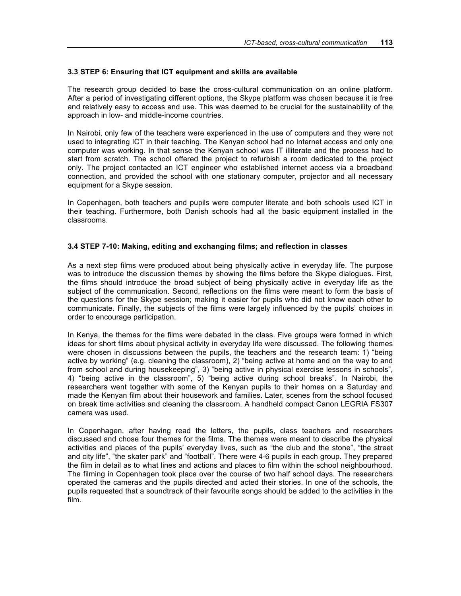### **3.3 STEP 6: Ensuring that ICT equipment and skills are available**

The research group decided to base the cross-cultural communication on an online platform. After a period of investigating different options, the Skype platform was chosen because it is free and relatively easy to access and use. This was deemed to be crucial for the sustainability of the approach in low- and middle-income countries.

In Nairobi, only few of the teachers were experienced in the use of computers and they were not used to integrating ICT in their teaching. The Kenyan school had no Internet access and only one computer was working. In that sense the Kenyan school was IT illiterate and the process had to start from scratch. The school offered the project to refurbish a room dedicated to the project only. The project contacted an ICT engineer who established internet access via a broadband connection, and provided the school with one stationary computer, projector and all necessary equipment for a Skype session.

In Copenhagen, both teachers and pupils were computer literate and both schools used ICT in their teaching. Furthermore, both Danish schools had all the basic equipment installed in the classrooms.

### **3.4 STEP 7-10: Making, editing and exchanging films; and reflection in classes**

As a next step films were produced about being physically active in everyday life. The purpose was to introduce the discussion themes by showing the films before the Skype dialogues. First, the films should introduce the broad subject of being physically active in everyday life as the subject of the communication. Second, reflections on the films were meant to form the basis of the questions for the Skype session; making it easier for pupils who did not know each other to communicate. Finally, the subjects of the films were largely influenced by the pupils' choices in order to encourage participation.

In Kenya, the themes for the films were debated in the class. Five groups were formed in which ideas for short films about physical activity in everyday life were discussed. The following themes were chosen in discussions between the pupils, the teachers and the research team: 1) "being active by working" (e.g. cleaning the classroom), 2) "being active at home and on the way to and from school and during housekeeping", 3) "being active in physical exercise lessons in schools", 4) "being active in the classroom", 5) "being active during school breaks". In Nairobi, the researchers went together with some of the Kenyan pupils to their homes on a Saturday and made the Kenyan film about their housework and families. Later, scenes from the school focused on break time activities and cleaning the classroom. A handheld compact Canon LEGRIA FS307 camera was used.

In Copenhagen, after having read the letters, the pupils, class teachers and researchers discussed and chose four themes for the films. The themes were meant to describe the physical activities and places of the pupils' everyday lives, such as "the club and the stone", "the street and city life", "the skater park" and "football". There were 4-6 pupils in each group. They prepared the film in detail as to what lines and actions and places to film within the school neighbourhood. The filming in Copenhagen took place over the course of two half school days. The researchers operated the cameras and the pupils directed and acted their stories. In one of the schools, the pupils requested that a soundtrack of their favourite songs should be added to the activities in the film.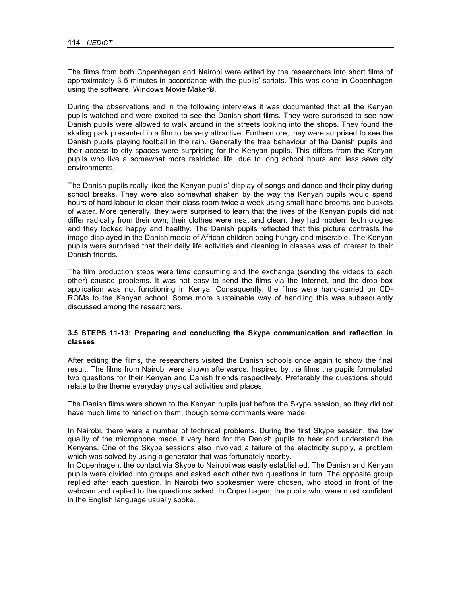The films from both Copenhagen and Nairobi were edited by the researchers into short films of approximately 3-5 minutes in accordance with the pupils' scripts. This was done in Copenhagen using the software, Windows Movie Maker®.

During the observations and in the following interviews it was documented that all the Kenyan pupils watched and were excited to see the Danish short films. They were surprised to see how Danish pupils were allowed to walk around in the streets looking into the shops. They found the skating park presented in a film to be very attractive. Furthermore, they were surprised to see the Danish pupils playing football in the rain. Generally the free behaviour of the Danish pupils and their access to city spaces were surprising for the Kenyan pupils. This differs from the Kenyan pupils who live a somewhat more restricted life, due to long school hours and less save city environments.

The Danish pupils really liked the Kenyan pupils' display of songs and dance and their play during school breaks. They were also somewhat shaken by the way the Kenyan pupils would spend hours of hard labour to clean their class room twice a week using small hand brooms and buckets of water. More generally, they were surprised to learn that the lives of the Kenyan pupils did not differ radically from their own; their clothes were neat and clean, they had modern technologies and they looked happy and healthy. The Danish pupils reflected that this picture contrasts the image displayed in the Danish media of African children being hungry and miserable. The Kenyan pupils were surprised that their daily life activities and cleaning in classes was of interest to their Danish friends.

The film production steps were time consuming and the exchange (sending the videos to each other) caused problems. It was not easy to send the films via the Internet, and the drop box application was not functioning in Kenya. Consequently, the films were hand-carried on CD-ROMs to the Kenyan school. Some more sustainable way of handling this was subsequently discussed among the researchers.

## **3.5 STEPS 11-13: Preparing and conducting the Skype communication and reflection in classes**

After editing the films, the researchers visited the Danish schools once again to show the final result. The films from Nairobi were shown afterwards. Inspired by the films the pupils formulated two questions for their Kenyan and Danish friends respectively. Preferably the questions should relate to the theme everyday physical activities and places.

The Danish films were shown to the Kenyan pupils just before the Skype session, so they did not have much time to reflect on them, though some comments were made.

In Nairobi, there were a number of technical problems. During the first Skype session, the low quality of the microphone made it very hard for the Danish pupils to hear and understand the Kenyans. One of the Skype sessions also involved a failure of the electricity supply, a problem which was solved by using a generator that was fortunately nearby.

In Copenhagen, the contact via Skype to Nairobi was easily established. The Danish and Kenyan pupils were divided into groups and asked each other two questions in turn. The opposite group replied after each question. In Nairobi two spokesmen were chosen, who stood in front of the webcam and replied to the questions asked. In Copenhagen, the pupils who were most confident in the English language usually spoke.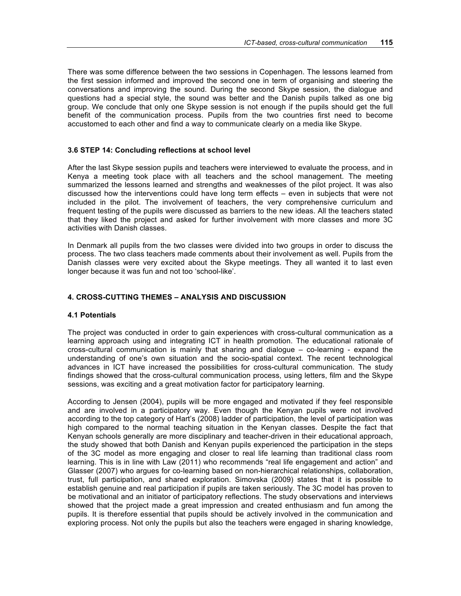There was some difference between the two sessions in Copenhagen. The lessons learned from the first session informed and improved the second one in term of organising and steering the conversations and improving the sound. During the second Skype session, the dialogue and questions had a special style, the sound was better and the Danish pupils talked as one big group. We conclude that only one Skype session is not enough if the pupils should get the full benefit of the communication process. Pupils from the two countries first need to become accustomed to each other and find a way to communicate clearly on a media like Skype.

### **3.6 STEP 14: Concluding reflections at school level**

After the last Skype session pupils and teachers were interviewed to evaluate the process, and in Kenya a meeting took place with all teachers and the school management. The meeting summarized the lessons learned and strengths and weaknesses of the pilot project. It was also discussed how the interventions could have long term effects – even in subjects that were not included in the pilot. The involvement of teachers, the very comprehensive curriculum and frequent testing of the pupils were discussed as barriers to the new ideas. All the teachers stated that they liked the project and asked for further involvement with more classes and more 3C activities with Danish classes.

In Denmark all pupils from the two classes were divided into two groups in order to discuss the process. The two class teachers made comments about their involvement as well. Pupils from the Danish classes were very excited about the Skype meetings. They all wanted it to last even longer because it was fun and not too 'school-like'.

## **4. CROSS-CUTTING THEMES – ANALYSIS AND DISCUSSION**

#### **4.1 Potentials**

The project was conducted in order to gain experiences with cross-cultural communication as a learning approach using and integrating ICT in health promotion. The educational rationale of cross-cultural communication is mainly that sharing and dialogue – co-learning - expand the understanding of one's own situation and the socio-spatial context. The recent technological advances in ICT have increased the possibilities for cross-cultural communication. The study findings showed that the cross-cultural communication process, using letters, film and the Skype sessions, was exciting and a great motivation factor for participatory learning.

According to Jensen (2004), pupils will be more engaged and motivated if they feel responsible and are involved in a participatory way. Even though the Kenyan pupils were not involved according to the top category of Hart's (2008) ladder of participation, the level of participation was high compared to the normal teaching situation in the Kenyan classes. Despite the fact that Kenyan schools generally are more disciplinary and teacher-driven in their educational approach, the study showed that both Danish and Kenyan pupils experienced the participation in the steps of the 3C model as more engaging and closer to real life learning than traditional class room learning. This is in line with Law (2011) who recommends "real life engagement and action" and Glasser (2007) who argues for co-learning based on non-hierarchical relationships, collaboration, trust, full participation, and shared exploration. Simovska (2009) states that it is possible to establish genuine and real participation if pupils are taken seriously. The 3C model has proven to be motivational and an initiator of participatory reflections. The study observations and interviews showed that the project made a great impression and created enthusiasm and fun among the pupils. It is therefore essential that pupils should be actively involved in the communication and exploring process. Not only the pupils but also the teachers were engaged in sharing knowledge,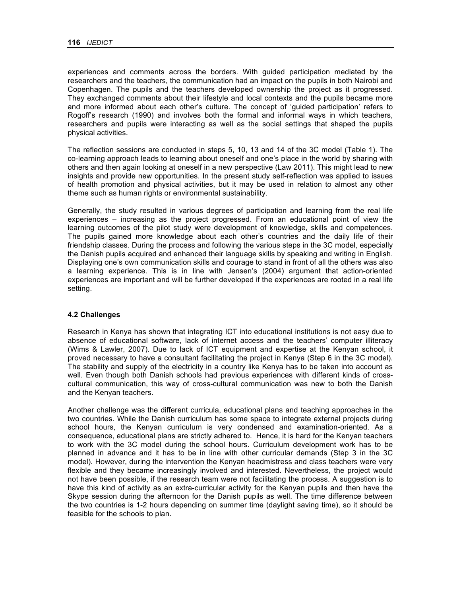experiences and comments across the borders. With guided participation mediated by the researchers and the teachers, the communication had an impact on the pupils in both Nairobi and Copenhagen. The pupils and the teachers developed ownership the project as it progressed. They exchanged comments about their lifestyle and local contexts and the pupils became more and more informed about each other's culture. The concept of 'guided participation' refers to Rogoff's research (1990) and involves both the formal and informal ways in which teachers, researchers and pupils were interacting as well as the social settings that shaped the pupils physical activities.

The reflection sessions are conducted in steps 5, 10, 13 and 14 of the 3C model (Table 1). The co-learning approach leads to learning about oneself and one's place in the world by sharing with others and then again looking at oneself in a new perspective (Law 2011). This might lead to new insights and provide new opportunities. In the present study self-reflection was applied to issues of health promotion and physical activities, but it may be used in relation to almost any other theme such as human rights or environmental sustainability.

Generally, the study resulted in various degrees of participation and learning from the real life experiences – increasing as the project progressed. From an educational point of view the learning outcomes of the pilot study were development of knowledge, skills and competences. The pupils gained more knowledge about each other's countries and the daily life of their friendship classes. During the process and following the various steps in the 3C model, especially the Danish pupils acquired and enhanced their language skills by speaking and writing in English. Displaying one's own communication skills and courage to stand in front of all the others was also a learning experience. This is in line with Jensen's (2004) argument that action-oriented experiences are important and will be further developed if the experiences are rooted in a real life setting.

#### **4.2 Challenges**

Research in Kenya has shown that integrating ICT into educational institutions is not easy due to absence of educational software, lack of internet access and the teachers' computer illiteracy (Wims & Lawler, 2007). Due to lack of ICT equipment and expertise at the Kenyan school, it proved necessary to have a consultant facilitating the project in Kenya (Step 6 in the 3C model). The stability and supply of the electricity in a country like Kenya has to be taken into account as well. Even though both Danish schools had previous experiences with different kinds of crosscultural communication, this way of cross-cultural communication was new to both the Danish and the Kenyan teachers.

Another challenge was the different curricula, educational plans and teaching approaches in the two countries. While the Danish curriculum has some space to integrate external projects during school hours, the Kenyan curriculum is very condensed and examination-oriented. As a consequence, educational plans are strictly adhered to. Hence, it is hard for the Kenyan teachers to work with the 3C model during the school hours. Curriculum development work has to be planned in advance and it has to be in line with other curricular demands (Step 3 in the 3C model). However, during the intervention the Kenyan headmistress and class teachers were very flexible and they became increasingly involved and interested. Nevertheless, the project would not have been possible, if the research team were not facilitating the process. A suggestion is to have this kind of activity as an extra-curricular activity for the Kenyan pupils and then have the Skype session during the afternoon for the Danish pupils as well. The time difference between the two countries is 1-2 hours depending on summer time (daylight saving time), so it should be feasible for the schools to plan.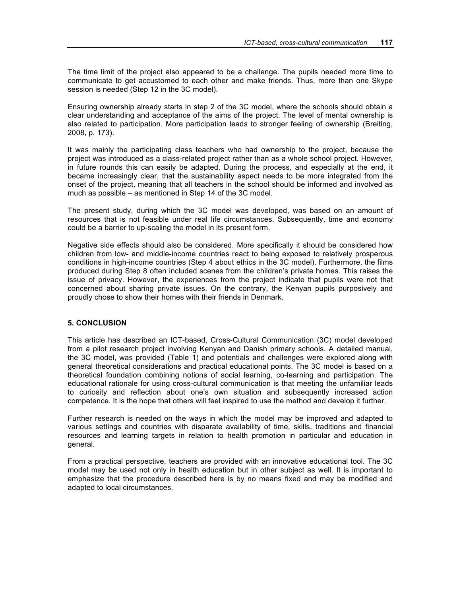The time limit of the project also appeared to be a challenge. The pupils needed more time to communicate to get accustomed to each other and make friends. Thus, more than one Skype session is needed (Step 12 in the 3C model).

Ensuring ownership already starts in step 2 of the 3C model, where the schools should obtain a clear understanding and acceptance of the aims of the project. The level of mental ownership is also related to participation. More participation leads to stronger feeling of ownership (Breiting, 2008, p. 173).

It was mainly the participating class teachers who had ownership to the project, because the project was introduced as a class-related project rather than as a whole school project. However, in future rounds this can easily be adapted. During the process, and especially at the end, it became increasingly clear, that the sustainability aspect needs to be more integrated from the onset of the project, meaning that all teachers in the school should be informed and involved as much as possible – as mentioned in Step 14 of the 3C model.

The present study, during which the 3C model was developed, was based on an amount of resources that is not feasible under real life circumstances. Subsequently, time and economy could be a barrier to up-scaling the model in its present form.

Negative side effects should also be considered. More specifically it should be considered how children from low- and middle-income countries react to being exposed to relatively prosperous conditions in high-income countries (Step 4 about ethics in the 3C model). Furthermore, the films produced during Step 8 often included scenes from the children's private homes. This raises the issue of privacy. However, the experiences from the project indicate that pupils were not that concerned about sharing private issues. On the contrary, the Kenyan pupils purposively and proudly chose to show their homes with their friends in Denmark.

## **5. CONCLUSION**

This article has described an ICT-based, Cross-Cultural Communication (3C) model developed from a pilot research project involving Kenyan and Danish primary schools. A detailed manual, the 3C model, was provided (Table 1) and potentials and challenges were explored along with general theoretical considerations and practical educational points. The 3C model is based on a theoretical foundation combining notions of social learning, co-learning and participation. The educational rationale for using cross-cultural communication is that meeting the unfamiliar leads to curiosity and reflection about one's own situation and subsequently increased action competence. It is the hope that others will feel inspired to use the method and develop it further.

Further research is needed on the ways in which the model may be improved and adapted to various settings and countries with disparate availability of time, skills, traditions and financial resources and learning targets in relation to health promotion in particular and education in general.

From a practical perspective, teachers are provided with an innovative educational tool. The 3C model may be used not only in health education but in other subject as well. It is important to emphasize that the procedure described here is by no means fixed and may be modified and adapted to local circumstances.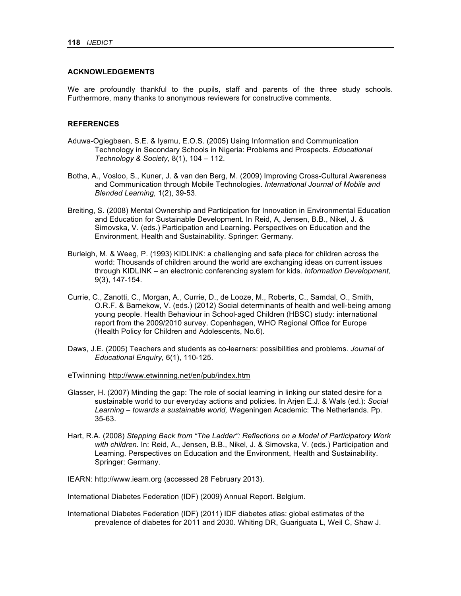#### **ACKNOWLEDGEMENTS**

We are profoundly thankful to the pupils, staff and parents of the three study schools. Furthermore, many thanks to anonymous reviewers for constructive comments.

## **REFERENCES**

- Aduwa-Ogiegbaen, S.E. & Iyamu, E.O.S. (2005) Using Information and Communication Technology in Secondary Schools in Nigeria: Problems and Prospects. *Educational Technology & Society,* 8(1), 104 – 112.
- Botha, A., Vosloo, S., Kuner, J. & van den Berg, M. (2009) Improving Cross-Cultural Awareness and Communication through Mobile Technologies. *International Journal of Mobile and Blended Learning,* 1(2), 39-53.
- Breiting, S. (2008) Mental Ownership and Participation for Innovation in Environmental Education and Education for Sustainable Development. In Reid, A, Jensen, B.B., Nikel, J. & Simovska, V. (eds.) Participation and Learning. Perspectives on Education and the Environment, Health and Sustainability. Springer: Germany.
- Burleigh, M. & Weeg, P. (1993) KIDLINK: a challenging and safe place for children across the world: Thousands of children around the world are exchanging ideas on current issues through KIDLINK – an electronic conferencing system for kids. *Information Development,*  9(3), 147-154.
- Currie, C., Zanotti, C., Morgan, A., Currie, D., de Looze, M., Roberts, C., Samdal, O., Smith, O.R.F. & Barnekow, V. (eds.) (2012) Social determinants of health and well-being among young people. Health Behaviour in School-aged Children (HBSC) study: international report from the 2009/2010 survey. Copenhagen, WHO Regional Office for Europe (Health Policy for Children and Adolescents, No.6).
- Daws, J.E. (2005) Teachers and students as co-learners: possibilities and problems. *Journal of Educational Enquiry,* 6(1), 110-125.
- eTwinning http://www.etwinning.net/en/pub/index.htm
- Glasser, H. (2007) Minding the gap: The role of social learning in linking our stated desire for a sustainable world to our everyday actions and policies. In Arjen E.J. & Wals (ed.): *Social Learning – towards a sustainable world,* Wageningen Academic: The Netherlands. Pp. 35-63.
- Hart, R.A. (2008) *Stepping Back from "The Ladder": Reflections on a Model of Participatory Work with children.* In: Reid, A., Jensen, B.B., Nikel, J. & Simovska, V. (eds.) Participation and Learning. Perspectives on Education and the Environment, Health and Sustainability. Springer: Germany.
- IEARN: http://www.iearn.org (accessed 28 February 2013).

International Diabetes Federation (IDF) (2009) Annual Report. Belgium.

International Diabetes Federation (IDF) (2011) IDF diabetes atlas: global estimates of the prevalence of diabetes for 2011 and 2030. Whiting DR, Guariguata L, Weil C, Shaw J.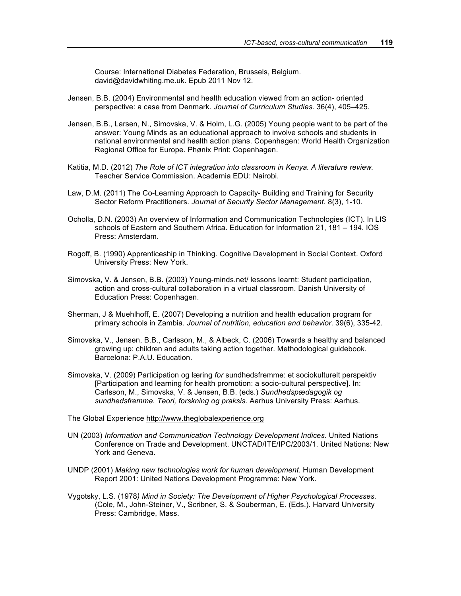Course: International Diabetes Federation, Brussels, Belgium. david@davidwhiting.me.uk. Epub 2011 Nov 12.

- Jensen, B.B. (2004) Environmental and health education viewed from an action- oriented perspective: a case from Denmark. *Journal of Curriculum Studies.* 36(4), 405–425.
- Jensen, B.B., Larsen, N., Simovska, V. & Holm, L.G. (2005) Young people want to be part of the answer: Young Minds as an educational approach to involve schools and students in national environmental and health action plans. Copenhagen: World Health Organization Regional Office for Europe. Phønix Print: Copenhagen.
- Katitia, M.D. (2012) *The Role of ICT integration into classroom in Kenya. A literature review.*  Teacher Service Commission. Academia EDU: Nairobi.
- Law, D.M. (2011) The Co-Learning Approach to Capacity- Building and Training for Security Sector Reform Practitioners. *Journal of Security Sector Management.* 8(3), 1-10.
- Ocholla, D.N. (2003) An overview of Information and Communication Technologies (ICT). In LIS schools of Eastern and Southern Africa. Education for Information 21, 181 – 194. IOS Press: Amsterdam.
- Rogoff, B. (1990) Apprenticeship in Thinking. Cognitive Development in Social Context. Oxford University Press: New York.
- Simovska, V. & Jensen, B.B. (2003) Young-minds.net/ lessons learnt: Student participation, action and cross-cultural collaboration in a virtual classroom. Danish University of Education Press: Copenhagen.
- Sherman, J & Muehlhoff, E. (2007) Developing a nutrition and health education program for primary schools in Zambia*. Journal of nutrition, education and behavior*. 39(6), 335-42.
- Simovska, V., Jensen, B.B., Carlsson, M., & Albeck, C. (2006) Towards a healthy and balanced growing up: children and adults taking action together. Methodological guidebook. Barcelona: P.A.U. Education.
- Simovska, V. (2009) Participation og læring *for* sundhedsfremme: et sociokulturelt perspektiv [Participation and learning for health promotion: a socio-cultural perspective]. In: Carlsson, M., Simovska, V. & Jensen, B.B. (eds.) *Sundhedspædagogik og sundhedsfremme. Teori, forskning og praksis.* Aarhus University Press: Aarhus.
- The Global Experience http://www.theglobalexperience.org
- UN (2003) *Information and Communication Technology Development Indices*. United Nations Conference on Trade and Development. UNCTAD/ITE/IPC/2003/1. United Nations: New York and Geneva.
- UNDP (2001) *Making new technologies work for human development.* Human Development Report 2001: United Nations Development Programme: New York.
- Vygotsky, L.S. (1978*) Mind in Society: The Development of Higher Psychological Processes.* (Cole, M., John-Steiner, V., Scribner, S. & Souberman, E. (Eds.). Harvard University Press: Cambridge, Mass.